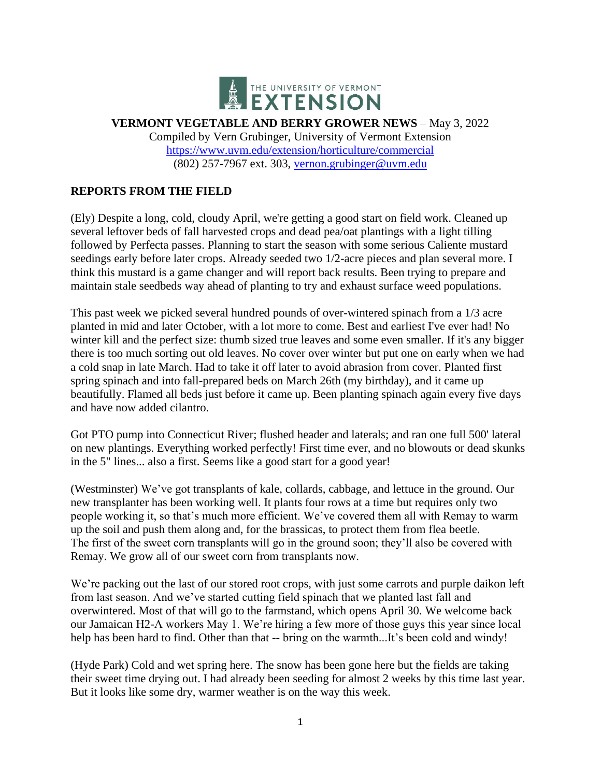

**VERMONT VEGETABLE AND BERRY GROWER NEWS** – May 3, 2022 Compiled by Vern Grubinger, University of Vermont Extension <https://www.uvm.edu/extension/horticulture/commercial> (802) 257-7967 ext. 303, [vernon.grubinger@uvm.edu](mailto:vernon.grubinger@uvm.edu)

# **REPORTS FROM THE FIELD**

(Ely) Despite a long, cold, cloudy April, we're getting a good start on field work. Cleaned up several leftover beds of fall harvested crops and dead pea/oat plantings with a light tilling followed by Perfecta passes. Planning to start the season with some serious Caliente mustard seedings early before later crops. Already seeded two 1/2-acre pieces and plan several more. I think this mustard is a game changer and will report back results. Been trying to prepare and maintain stale seedbeds way ahead of planting to try and exhaust surface weed populations.

This past week we picked several hundred pounds of over-wintered spinach from a 1/3 acre planted in mid and later October, with a lot more to come. Best and earliest I've ever had! No winter kill and the perfect size: thumb sized true leaves and some even smaller. If it's any bigger there is too much sorting out old leaves. No cover over winter but put one on early when we had a cold snap in late March. Had to take it off later to avoid abrasion from cover. Planted first spring spinach and into fall-prepared beds on March 26th (my birthday), and it came up beautifully. Flamed all beds just before it came up. Been planting spinach again every five days and have now added cilantro.

Got PTO pump into Connecticut River; flushed header and laterals; and ran one full 500' lateral on new plantings. Everything worked perfectly! First time ever, and no blowouts or dead skunks in the 5" lines... also a first. Seems like a good start for a good year!

(Westminster) We've got transplants of kale, collards, cabbage, and lettuce in the ground. Our new transplanter has been working well. It plants four rows at a time but requires only two people working it, so that's much more efficient. We've covered them all with Remay to warm up the soil and push them along and, for the brassicas, to protect them from flea beetle. The first of the sweet corn transplants will go in the ground soon; they'll also be covered with Remay. We grow all of our sweet corn from transplants now.

We're packing out the last of our stored root crops, with just some carrots and purple daikon left from last season. And we've started cutting field spinach that we planted last fall and overwintered. Most of that will go to the farmstand, which opens April 30. We welcome back our Jamaican H2-A workers May 1. We're hiring a few more of those guys this year since local help has been hard to find. Other than that -- bring on the warmth...It's been cold and windy!

(Hyde Park) Cold and wet spring here. The snow has been gone here but the fields are taking their sweet time drying out. I had already been seeding for almost 2 weeks by this time last year. But it looks like some dry, warmer weather is on the way this week.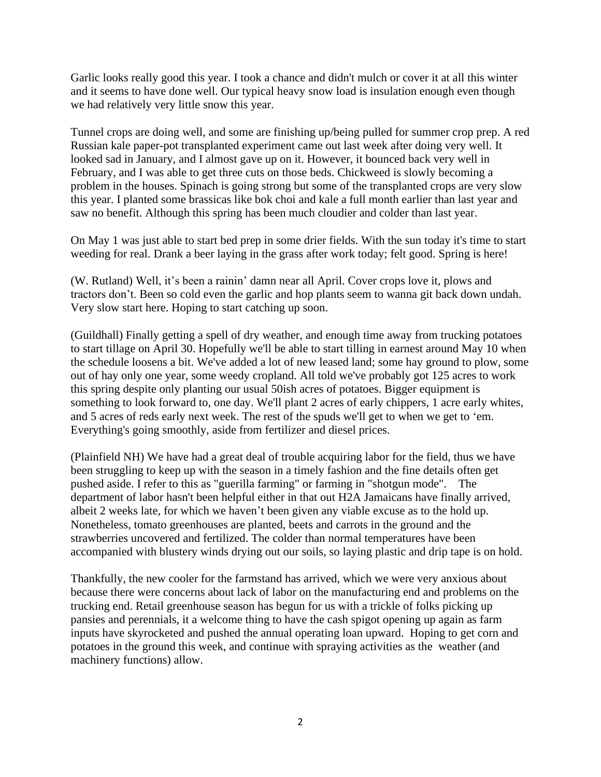Garlic looks really good this year. I took a chance and didn't mulch or cover it at all this winter and it seems to have done well. Our typical heavy snow load is insulation enough even though we had relatively very little snow this year.

Tunnel crops are doing well, and some are finishing up/being pulled for summer crop prep. A red Russian kale paper-pot transplanted experiment came out last week after doing very well. It looked sad in January, and I almost gave up on it. However, it bounced back very well in February, and I was able to get three cuts on those beds. Chickweed is slowly becoming a problem in the houses. Spinach is going strong but some of the transplanted crops are very slow this year. I planted some brassicas like bok choi and kale a full month earlier than last year and saw no benefit. Although this spring has been much cloudier and colder than last year.

On May 1 was just able to start bed prep in some drier fields. With the sun today it's time to start weeding for real. Drank a beer laying in the grass after work today; felt good. Spring is here!

(W. Rutland) Well, it's been a rainin' damn near all April. Cover crops love it, plows and tractors don't. Been so cold even the garlic and hop plants seem to wanna git back down undah. Very slow start here. Hoping to start catching up soon.

(Guildhall) Finally getting a spell of dry weather, and enough time away from trucking potatoes to start tillage on April 30. Hopefully we'll be able to start tilling in earnest around May 10 when the schedule loosens a bit. We've added a lot of new leased land; some hay ground to plow, some out of hay only one year, some weedy cropland. All told we've probably got 125 acres to work this spring despite only planting our usual 50ish acres of potatoes. Bigger equipment is something to look forward to, one day. We'll plant 2 acres of early chippers, 1 acre early whites, and 5 acres of reds early next week. The rest of the spuds we'll get to when we get to 'em. Everything's going smoothly, aside from fertilizer and diesel prices.

(Plainfield NH) We have had a great deal of trouble acquiring labor for the field, thus we have been struggling to keep up with the season in a timely fashion and the fine details often get pushed aside. I refer to this as "guerilla farming" or farming in "shotgun mode". The department of labor hasn't been helpful either in that out H2A Jamaicans have finally arrived, albeit 2 weeks late, for which we haven't been given any viable excuse as to the hold up. Nonetheless, tomato greenhouses are planted, beets and carrots in the ground and the strawberries uncovered and fertilized. The colder than normal temperatures have been accompanied with blustery winds drying out our soils, so laying plastic and drip tape is on hold.

Thankfully, the new cooler for the farmstand has arrived, which we were very anxious about because there were concerns about lack of labor on the manufacturing end and problems on the trucking end. Retail greenhouse season has begun for us with a trickle of folks picking up pansies and perennials, it a welcome thing to have the cash spigot opening up again as farm inputs have skyrocketed and pushed the annual operating loan upward. Hoping to get corn and potatoes in the ground this week, and continue with spraying activities as the weather (and machinery functions) allow.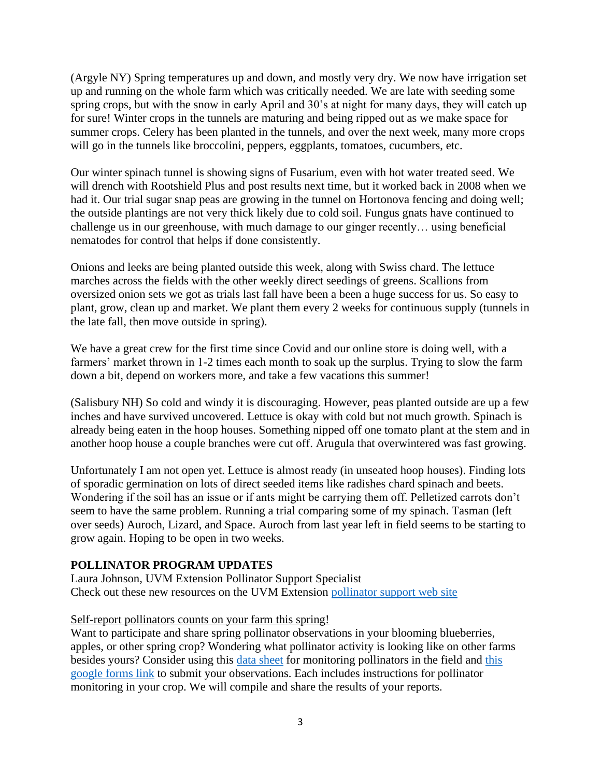(Argyle NY) Spring temperatures up and down, and mostly very dry. We now have irrigation set up and running on the whole farm which was critically needed. We are late with seeding some spring crops, but with the snow in early April and 30's at night for many days, they will catch up for sure! Winter crops in the tunnels are maturing and being ripped out as we make space for summer crops. Celery has been planted in the tunnels, and over the next week, many more crops will go in the tunnels like broccolini, peppers, eggplants, tomatoes, cucumbers, etc.

Our winter spinach tunnel is showing signs of Fusarium, even with hot water treated seed. We will drench with Rootshield Plus and post results next time, but it worked back in 2008 when we had it. Our trial sugar snap peas are growing in the tunnel on Hortonova fencing and doing well; the outside plantings are not very thick likely due to cold soil. Fungus gnats have continued to challenge us in our greenhouse, with much damage to our ginger recently… using beneficial nematodes for control that helps if done consistently.

Onions and leeks are being planted outside this week, along with Swiss chard. The lettuce marches across the fields with the other weekly direct seedings of greens. Scallions from oversized onion sets we got as trials last fall have been a been a huge success for us. So easy to plant, grow, clean up and market. We plant them every 2 weeks for continuous supply (tunnels in the late fall, then move outside in spring).

We have a great crew for the first time since Covid and our online store is doing well, with a farmers' market thrown in 1-2 times each month to soak up the surplus. Trying to slow the farm down a bit, depend on workers more, and take a few vacations this summer!

(Salisbury NH) So cold and windy it is discouraging. However, peas planted outside are up a few inches and have survived uncovered. Lettuce is okay with cold but not much growth. Spinach is already being eaten in the hoop houses. Something nipped off one tomato plant at the stem and in another hoop house a couple branches were cut off. Arugula that overwintered was fast growing.

Unfortunately I am not open yet. Lettuce is almost ready (in unseated hoop houses). Finding lots of sporadic germination on lots of direct seeded items like radishes chard spinach and beets. Wondering if the soil has an issue or if ants might be carrying them off. Pelletized carrots don't seem to have the same problem. Running a trial comparing some of my spinach. Tasman (left over seeds) Auroch, Lizard, and Space. Auroch from last year left in field seems to be starting to grow again. Hoping to be open in two weeks.

#### **POLLINATOR PROGRAM UPDATES**

Laura Johnson, UVM Extension Pollinator Support Specialist Check out these new resources on the UVM Extension [pollinator support web site](https://www.uvm.edu/extension/pollinator-resources)

#### Self-report pollinators counts on your farm this spring!

Want to participate and share spring pollinator observations in your blooming blueberries, apples, or other spring crop? Wondering what pollinator activity is looking like on other farms besides yours? Consider using this [data sheet](https://www.uvm.edu/sites/default/files/UVM-Extension-Cultivating-Healthy-Communities/horticulture/pollinators/DataSheetPollinatorMonitoring.pdf) for monitoring pollinators in the field and [this](https://forms.gle/622rDDRnpyzukn7K8)  [google forms link](https://forms.gle/622rDDRnpyzukn7K8) to submit your observations. Each includes instructions for pollinator monitoring in your crop. We will compile and share the results of your reports.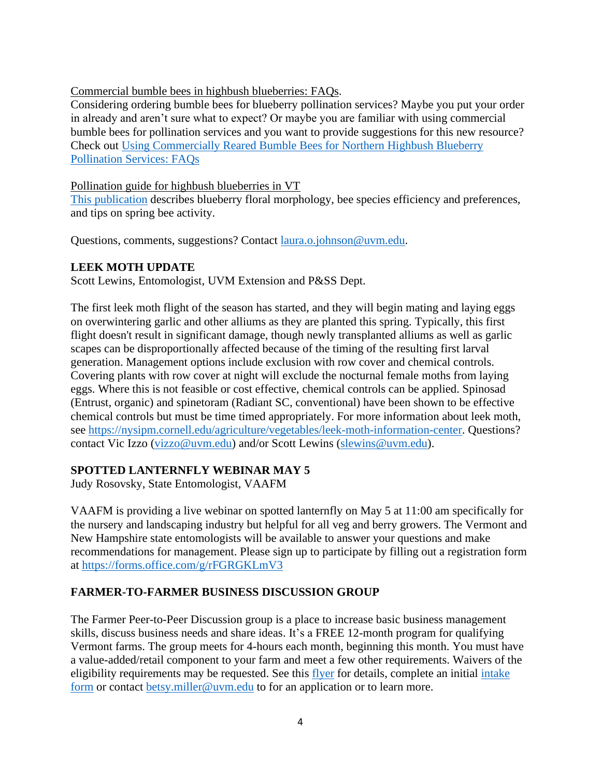### Commercial bumble bees in highbush blueberries: FAQs.

Considering ordering bumble bees for blueberry pollination services? Maybe you put your order in already and aren't sure what to expect? Or maybe you are familiar with using commercial bumble bees for pollination services and you want to provide suggestions for this new resource? Check out [Using Commercially Reared Bumble Bees for Northern Highbush Blueberry](https://www.uvm.edu/sites/default/files/UVM-Extension-Cultivating-Healthy-Communities/horticulture/pollinators/UsingCommercialBumblebeesBlueberries.pdf)  [Pollination Services: FAQs](https://www.uvm.edu/sites/default/files/UVM-Extension-Cultivating-Healthy-Communities/horticulture/pollinators/UsingCommercialBumblebeesBlueberries.pdf)

#### Pollination guide for highbush blueberries in VT

[This publication](https://www.uvm.edu/sites/default/files/UVM-Extension-Cultivating-Healthy-Communities/horticulture/pollinators/PollinationGuideHighbushBlueberriesVT.pdf) describes blueberry floral morphology, bee species efficiency and preferences, and tips on spring bee activity.

Questions, comments, suggestions? Contact *[laura.o.johnson@uvm.edu.](mailto:laura.o.johnson@uvm.edu)* 

## **LEEK MOTH UPDATE**

Scott Lewins, Entomologist, UVM Extension and P&SS Dept.

The first leek moth flight of the season has started, and they will begin mating and laying eggs on overwintering garlic and other alliums as they are planted this spring. Typically, this first flight doesn't result in significant damage, though newly transplanted alliums as well as garlic scapes can be disproportionally affected because of the timing of the resulting first larval generation. Management options include exclusion with row cover and chemical controls. Covering plants with row cover at night will exclude the nocturnal female moths from laying eggs. Where this is not feasible or cost effective, chemical controls can be applied. Spinosad (Entrust, organic) and spinetoram (Radiant SC, conventional) have been shown to be effective chemical controls but must be time timed appropriately. For more information about leek moth, see [https://nysipm.cornell.edu/agriculture/vegetables/leek-moth-information-center.](https://nysipm.cornell.edu/agriculture/vegetables/leek-moth-information-center) Questions? contact Vic Izzo [\(vizzo@uvm.edu\)](mailto:vizzo@uvm.edu) and/or Scott Lewins [\(slewins@uvm.edu\)](mailto:slewins@uvm.edu).

## **SPOTTED LANTERNFLY WEBINAR MAY 5**

Judy Rosovsky, State Entomologist, VAAFM

VAAFM is providing a live webinar on spotted lanternfly on May 5 at 11:00 am specifically for the nursery and landscaping industry but helpful for all veg and berry growers. The Vermont and New Hampshire state entomologists will be available to answer your questions and make recommendations for management. Please sign up to participate by filling out a registration form at<https://forms.office.com/g/rFGRGKLmV3>

## **FARMER-TO-FARMER BUSINESS DISCUSSION GROUP**

The Farmer Peer-to-Peer Discussion group is a place to increase basic business management skills, discuss business needs and share ideas. It's a FREE 12-month program for qualifying Vermont farms. The group meets for 4-hours each month, beginning this month. You must have a value-added/retail component to your farm and meet a few other requirements. Waivers of the eligibility requirements may be requested. See this [flyer](https://www.uvm.edu/sites/default/files/Agriculture/agbusiness/VT_Farmer_Peer_Discussion_Cohort_Flyer_2022.pdf) for details, complete an initial [intake](https://forms.gle/aajqQxQZVWbgGvPJ6)  [form](https://forms.gle/aajqQxQZVWbgGvPJ6) or contact [betsy.miller@uvm.edu](mailto:betsy.miller@uvm.edu) to for an application or to learn more.